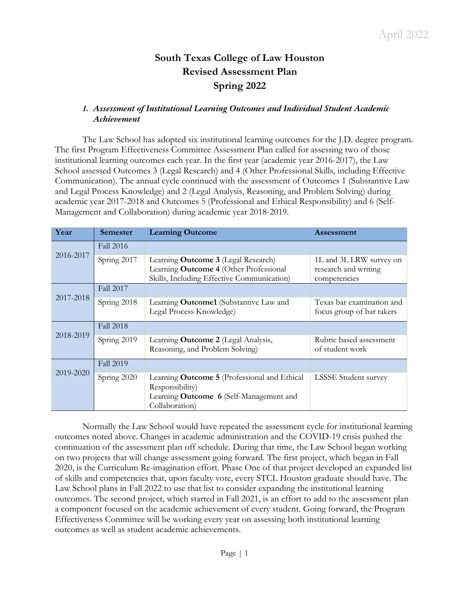# **South Texas College of Law Houston Revised Assessment Plan Spring 2022**

## *1. Assessment of Institutional Learning Outcomes and Individual Student Academic Achievement*

The Law School has adopted six institutional learning outcomes for the J.D. degree program. The first Program Effectiveness Committee Assessment Plan called for assessing two of those institutional learning outcomes each year. In the first year (academic year 2016-2017), the Law School assessed Outcomes 3 (Legal Research) and 4 (Other Professional Skills, including Effective Communication). The annual cycle continued with the assessment of Outcomes 1 (Substantive Law and Legal Process Knowledge) and 2 (Legal Analysis, Reasoning, and Problem Solving) during academic year 2017-2018 and Outcomes 5 (Professional and Ethical Responsibility) and 6 (Self-Management and Collaboration) during academic year 2018-2019.

| Year      | <b>Semester</b>  | <b>Learning Outcome</b>                             | <b>Assessment</b>           |
|-----------|------------------|-----------------------------------------------------|-----------------------------|
| 2016-2017 | <b>Fall 2016</b> |                                                     |                             |
|           | Spring 2017      | Learning Outcome 3 (Legal Research)                 | 1L and 3L LRW survey on     |
|           |                  | Learning Outcome 4 (Other Professional              | research and writing        |
|           |                  | Skills, Including Effective Communication)          | competencies                |
| 2017-2018 | <b>Fall 2017</b> |                                                     |                             |
|           | Spring 2018      | Learning Outcome1 (Substantive Law and              | Texas bar examination and   |
|           |                  | Legal Process Knowledge)                            | focus group of bar takers   |
| 2018-2019 | <b>Fall 2018</b> |                                                     |                             |
|           | Spring 2019      | Learning Outcome 2 (Legal Analysis,                 | Rubric based assessment     |
|           |                  | Reasoning, and Problem Solving)                     | of student work             |
| 2019-2020 | <b>Fall 2019</b> |                                                     |                             |
|           | Spring 2020      | Learning <b>Outcome 5</b> (Professional and Ethical | <b>LSSSE</b> Student survey |
|           |                  | Responsibility)                                     |                             |
|           |                  | Learning Outcome 6 (Self-Management and             |                             |
|           |                  | Collaboration)                                      |                             |

Normally the Law School would have repeated the assessment cycle for institutional learning outcomes noted above. Changes in academic administration and the COVID-19 crisis pushed the continuation of the assessment plan off schedule. During that time, the Law School began working on two projects that will change assessment going forward. The first project, which began in Fall 2020, is the Curriculum Re-imagination effort. Phase One of that project developed an expanded list of skills and competencies that, upon faculty vote, every STCL Houston graduate should have. The Law School plans in Fall 2022 to use that list to consider expanding the institutional learning outcomes. The second project, which started in Fall 2021, is an effort to add to the assessment plan a component focused on the academic achievement of every student. Going forward, the Program Effectiveness Committee will be working every year on assessing both institutional learning outcomes as well as student academic achievements.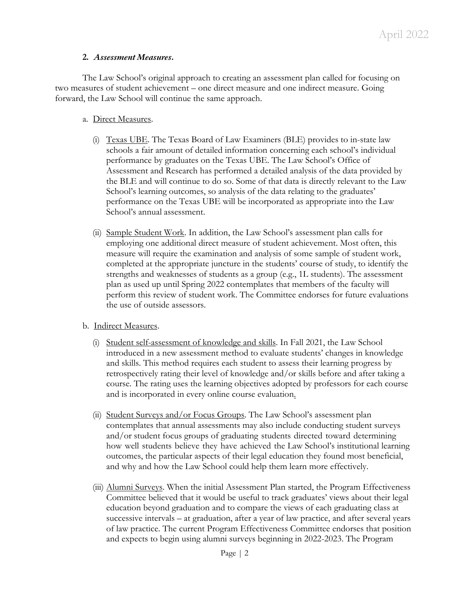## **2.** *Assessment Measures***.**

The Law School's original approach to creating an assessment plan called for focusing on two measures of student achievement – one direct measure and one indirect measure. Going forward, the Law School will continue the same approach.

### a. Direct Measures.

- (i) Texas UBE. The Texas Board of Law Examiners (BLE) provides to in-state law schools a fair amount of detailed information concerning each school's individual performance by graduates on the Texas UBE. The Law School's Office of Assessment and Research has performed a detailed analysis of the data provided by the BLE and will continue to do so. Some of that data is directly relevant to the Law School's learning outcomes, so analysis of the data relating to the graduates' performance on the Texas UBE will be incorporated as appropriate into the Law School's annual assessment.
- (ii) Sample Student Work. In addition, the Law School's assessment plan calls for employing one additional direct measure of student achievement. Most often, this measure will require the examination and analysis of some sample of student work, completed at the appropriate juncture in the students' course of study, to identify the strengths and weaknesses of students as a group (e.g., 1L students). The assessment plan as used up until Spring 2022 contemplates that members of the faculty will perform this review of student work. The Committee endorses for future evaluations the use of outside assessors.

#### b. Indirect Measures.

- (i) Student self-assessment of knowledge and skills. In Fall 2021, the Law School introduced in a new assessment method to evaluate students' changes in knowledge and skills. This method requires each student to assess their learning progress by retrospectively rating their level of knowledge and/or skills before and after taking a course. The rating uses the learning objectives adopted by professors for each course and is incorporated in every online course evaluation.
- (ii) Student Surveys and/or Focus Groups. The Law School's assessment plan contemplates that annual assessments may also include conducting student surveys and/or student focus groups of graduating students directed toward determining how well students believe they have achieved the Law School's institutional learning outcomes, the particular aspects of their legal education they found most beneficial, and why and how the Law School could help them learn more effectively.
- (iii) Alumni Surveys. When the initial Assessment Plan started, the Program Effectiveness Committee believed that it would be useful to track graduates' views about their legal education beyond graduation and to compare the views of each graduating class at successive intervals – at graduation, after a year of law practice, and after several years of law practice. The current Program Effectiveness Committee endorses that position and expects to begin using alumni surveys beginning in 2022-2023. The Program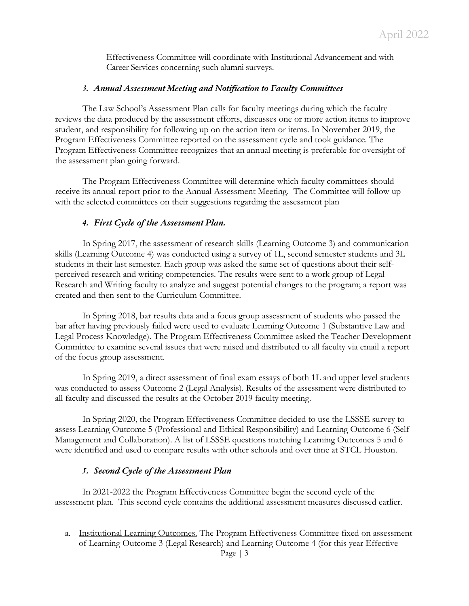Effectiveness Committee will coordinate with Institutional Advancement and with Career Services concerning such alumni surveys.

#### *3. Annual Assessment Meeting and Notification to Faculty Committees*

The Law School's Assessment Plan calls for faculty meetings during which the faculty reviews the data produced by the assessment efforts, discusses one or more action items to improve student, and responsibility for following up on the action item or items. In November 2019, the Program Effectiveness Committee reported on the assessment cycle and took guidance. The Program Effectiveness Committee recognizes that an annual meeting is preferable for oversight of the assessment plan going forward.

The Program Effectiveness Committee will determine which faculty committees should receive its annual report prior to the Annual Assessment Meeting. The Committee will follow up with the selected committees on their suggestions regarding the assessment plan

#### *4. First Cycle of the Assessment Plan.*

In Spring 2017, the assessment of research skills (Learning Outcome 3) and communication skills (Learning Outcome 4) was conducted using a survey of 1L, second semester students and 3L students in their last semester. Each group was asked the same set of questions about their selfperceived research and writing competencies. The results were sent to a work group of Legal Research and Writing faculty to analyze and suggest potential changes to the program; a report was created and then sent to the Curriculum Committee.

In Spring 2018, bar results data and a focus group assessment of students who passed the bar after having previously failed were used to evaluate Learning Outcome 1 (Substantive Law and Legal Process Knowledge). The Program Effectiveness Committee asked the Teacher Development Committee to examine several issues that were raised and distributed to all faculty via email a report of the focus group assessment.

In Spring 2019, a direct assessment of final exam essays of both 1L and upper level students was conducted to assess Outcome 2 (Legal Analysis). Results of the assessment were distributed to all faculty and discussed the results at the October 2019 faculty meeting.

In Spring 2020, the Program Effectiveness Committee decided to use the LSSSE survey to assess Learning Outcome 5 (Professional and Ethical Responsibility) and Learning Outcome 6 (Self-Management and Collaboration). A list of LSSSE questions matching Learning Outcomes 5 and 6 were identified and used to compare results with other schools and over time at STCL Houston.

#### *5. Second Cycle of the Assessment Plan*

In 2021-2022 the Program Effectiveness Committee begin the second cycle of the assessment plan. This second cycle contains the additional assessment measures discussed earlier.

a. Institutional Learning Outcomes. The Program Effectiveness Committee fixed on assessment of Learning Outcome 3 (Legal Research) and Learning Outcome 4 (for this year Effective